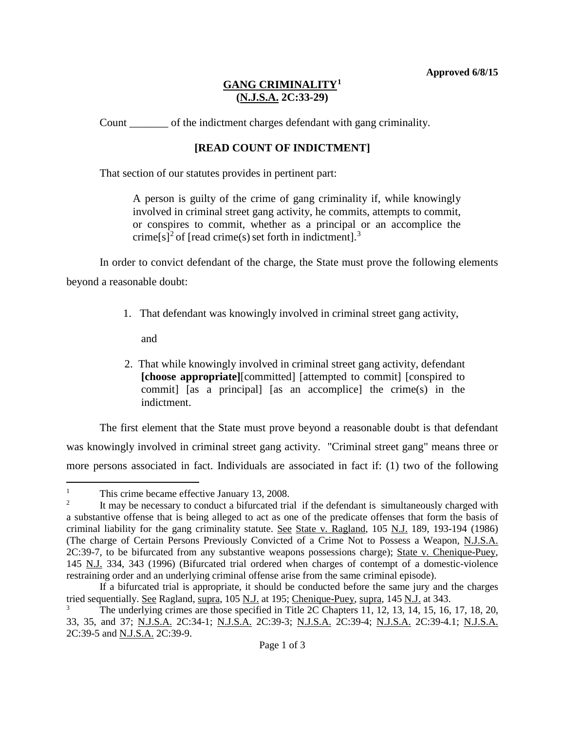## **GANG CRIMINALITY[1](#page-0-0) (N.J.S.A. 2C:33-29)**

Count of the indictment charges defendant with gang criminality.

## **[READ COUNT OF INDICTMENT]**

That section of our statutes provides in pertinent part:

A person is guilty of the crime of gang criminality if, while knowingly involved in criminal street gang activity, he commits, attempts to commit, or conspires to commit, whether as a principal or an accomplice the crime[s]<sup>[2](#page-0-1)</sup> of [read crime(s) set forth in indictment].<sup>[3](#page-0-2)</sup>

In order to convict defendant of the charge, the State must prove the following elements beyond a reasonable doubt:

1. That defendant was knowingly involved in criminal street gang activity,

and

2. That while knowingly involved in criminal street gang activity, defendant **[choose appropriate]**[committed] [attempted to commit] [conspired to commit] [as a principal] [as an accomplice] the crime(s) in the indictment.

The first element that the State must prove beyond a reasonable doubt is that defendant was knowingly involved in criminal street gang activity. "Criminal street gang" means three or more persons associated in fact. Individuals are associated in fact if: (1) two of the following

<span id="page-0-0"></span><sup>&</sup>lt;sup>1</sup> This crime became effective January 13, 2008.<br><sup>2</sup> It may be necessary to conduct a bifurcated trial  $\mathbf{1}$ 

<span id="page-0-1"></span>It may be necessary to conduct a bifurcated trial if the defendant is simultaneously charged with a substantive offense that is being alleged to act as one of the predicate offenses that form the basis of criminal liability for the gang criminality statute. See State v. Ragland, 105 N.J. 189, 193-194 (1986) (The charge of Certain Persons Previously Convicted of a Crime Not to Possess a Weapon, N.J.S.A. 2C:39-7, to be bifurcated from any substantive weapons possessions charge); State v. Chenique-Puey, 145 N.J. 334, 343 (1996) (Bifurcated trial ordered when charges of contempt of a domestic-violence restraining order and an underlying criminal offense arise from the same criminal episode).

If a bifurcated trial is appropriate, it should be conducted before the same jury and the charges tried sequentially. See Ragland, supra, 105 N.J. at 195; Chenique-Puey, supra, 145 N.J. at 343.

<span id="page-0-2"></span>The underlying crimes are those specified in Title 2C Chapters  $11, 12, 13, 14, 15, 16, 17, 18, 20$ , 33, 35, and 37; N.J.S.A. 2C:34-1; N.J.S.A. 2C:39-3; N.J.S.A. 2C:39-4; N.J.S.A. 2C:39-4.1; N.J.S.A. 2C:39-5 and N.J.S.A. 2C:39-9.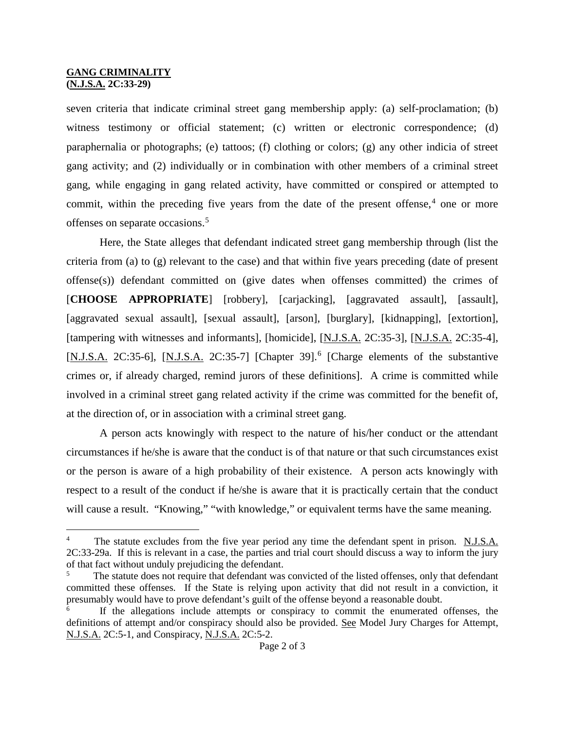## **GANG CRIMINALITY (N.J.S.A. 2C:33-29)**

seven criteria that indicate criminal street gang membership apply: (a) self-proclamation; (b) witness testimony or official statement; (c) written or electronic correspondence; (d) paraphernalia or photographs; (e) tattoos; (f) clothing or colors; (g) any other indicia of street gang activity; and (2) individually or in combination with other members of a criminal street gang, while engaging in gang related activity, have committed or conspired or attempted to commit, within the preceding five years from the date of the present offense,<sup>[4](#page-1-0)</sup> one or more offenses on separate occasions.[5](#page-1-1)

Here, the State alleges that defendant indicated street gang membership through (list the criteria from (a) to (g) relevant to the case) and that within five years preceding (date of present offense(s)) defendant committed on (give dates when offenses committed) the crimes of [**CHOOSE APPROPRIATE**] [robbery], [carjacking], [aggravated assault], [assault], [aggravated sexual assault], [sexual assault], [arson], [burglary], [kidnapping], [extortion], [tampering with witnesses and informants], [homicide], [N.J.S.A. 2C:35-3], [N.J.S.A. 2C:35-4], [N.J.S.A. 2C:35-[6](#page-1-2)], [N.J.S.A. 2C:35-7] [Chapter 39].<sup>6</sup> [Charge elements of the substantive crimes or, if already charged, remind jurors of these definitions]. A crime is committed while involved in a criminal street gang related activity if the crime was committed for the benefit of, at the direction of, or in association with a criminal street gang.

A person acts knowingly with respect to the nature of his/her conduct or the attendant circumstances if he/she is aware that the conduct is of that nature or that such circumstances exist or the person is aware of a high probability of their existence. A person acts knowingly with respect to a result of the conduct if he/she is aware that it is practically certain that the conduct will cause a result. "Knowing," "with knowledge," or equivalent terms have the same meaning.

<span id="page-1-0"></span>The statute excludes from the five year period any time the defendant spent in prison. N.J.S.A. 2C:33-29a. If this is relevant in a case, the parties and trial court should discuss a way to inform the jury of that fact without unduly prejudicing the defendant. ī

<span id="page-1-1"></span>The statute does not require that defendant was convicted of the listed offenses, only that defendant committed these offenses. If the State is relying upon activity that did not result in a conviction, it presumably would have to prove defendant's guilt of the offense beyond a reasonable doubt.

<span id="page-1-2"></span><sup>6</sup> If the allegations include attempts or conspiracy to commit the enumerated offenses, the definitions of attempt and/or conspiracy should also be provided. See Model Jury Charges for Attempt, N.J.S.A. 2C:5-1, and Conspiracy, N.J.S.A. 2C:5-2.